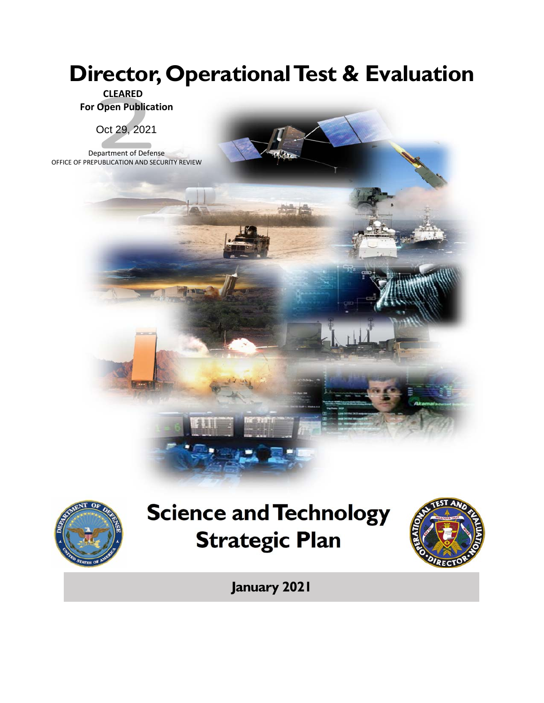



# **Science and Technology Strategic Plan**



**January 2021**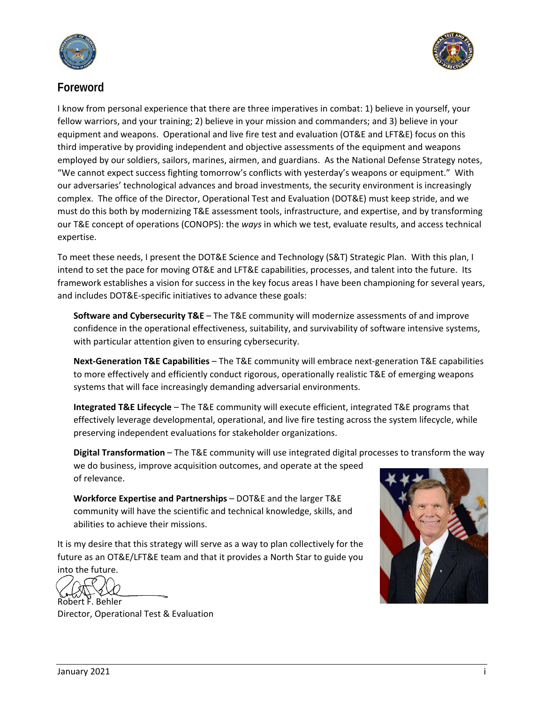



## **Foreword**

I know from personal experience that there are three imperatives in combat: 1) believe in yourself, your fellow warriors, and your training; 2) believe in your mission and commanders; and 3) believe in your equipment and weapons. Operational and live fire test and evaluation (OT&E and LFT&E) focus on this third imperative by providing independent and objective assessments of the equipment and weapons employed by our soldiers, sailors, marines, airmen, and guardians. As the National Defense Strategy notes, "We cannot expect success fighting tomorrow's conflicts with yesterday's weapons or equipment." With our adversaries' technological advances and broad investments, the security environment is increasingly complex. The office of the Director, Operational Test and Evaluation (DOT&E) must keep stride, and we must do this both by modernizing T&E assessment tools, infrastructure, and expertise, and by transforming our T&E concept of operations (CONOPS): the *ways* in which we test, evaluate results, and access technical expertise.

To meet these needs, I present the DOT&E Science and Technology (S&T) Strategic Plan. With this plan, I intend to set the pace for moving OT&E and LFT&E capabilities, processes, and talent into the future. Its framework establishes a vision for success in the key focus areas I have been championing for several years, and includes DOT&E‐specific initiatives to advance these goals:

**Software and Cybersecurity T&E** – The T&E community will modernize assessments of and improve confidence in the operational effectiveness, suitability, and survivability of software intensive systems, with particular attention given to ensuring cybersecurity.

**Next‐Generation T&E Capabilities** – The T&E community will embrace next‐generation T&E capabilities to more effectively and efficiently conduct rigorous, operationally realistic T&E of emerging weapons systems that will face increasingly demanding adversarial environments.

**Integrated T&E Lifecycle** – The T&E community will execute efficient, integrated T&E programs that effectively leverage developmental, operational, and live fire testing across the system lifecycle, while preserving independent evaluations for stakeholder organizations.

**Digital Transformation** – The T&E community will use integrated digital processes to transform the way we do business, improve acquisition outcomes, and operate at the speed of relevance.

**Workforce Expertise and Partnerships** – DOT&E and the larger T&E community will have the scientific and technical knowledge, skills, and abilities to achieve their missions.

It is my desire that this strategy will serve as a way to plan collectively for the future as an OT&E/LFT&E team and that it provides a North Star to guide you into the future.

Robert F. Behler Director, Operational Test & Evaluation

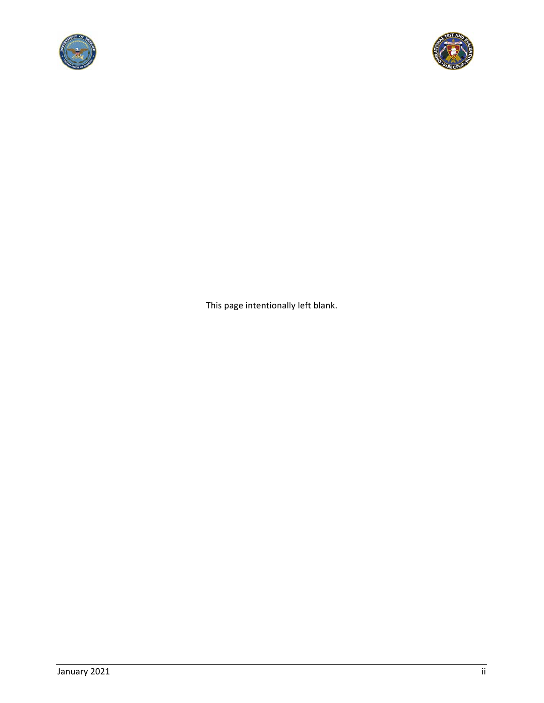



This page intentionally left blank.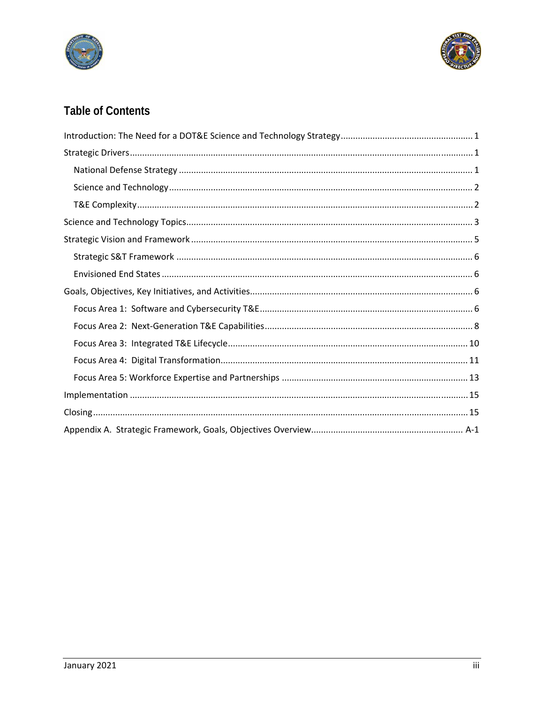



## **Table of Contents**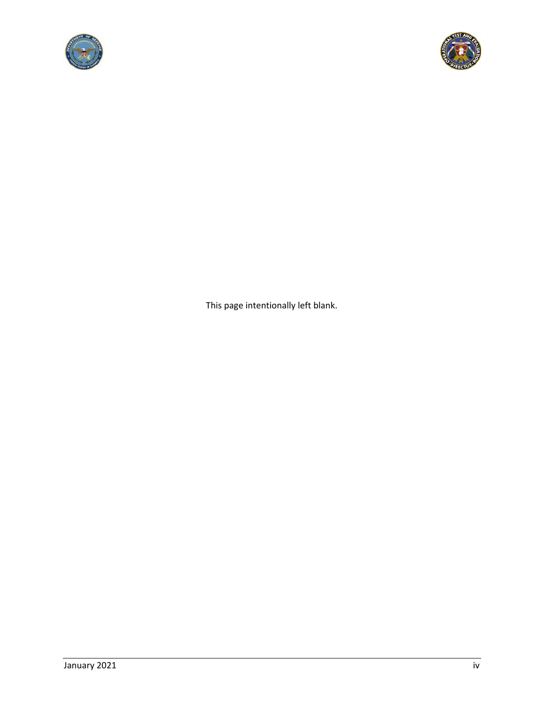



This page intentionally left blank.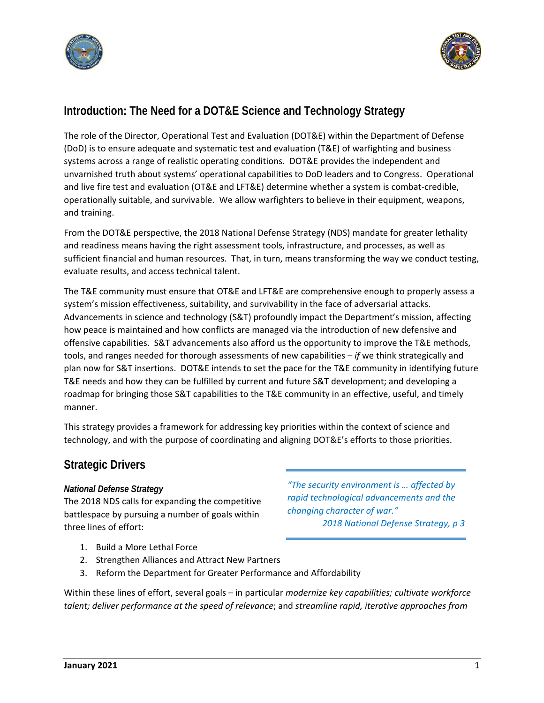



## **Introduction: The Need for a DOT&E Science and Technology Strategy**

The role of the Director, Operational Test and Evaluation (DOT&E) within the Department of Defense (DoD) is to ensure adequate and systematic test and evaluation (T&E) of warfighting and business systems across a range of realistic operating conditions. DOT&E provides the independent and unvarnished truth about systems' operational capabilities to DoD leaders and to Congress. Operational and live fire test and evaluation (OT&E and LFT&E) determine whether a system is combat-credible, operationally suitable, and survivable. We allow warfighters to believe in their equipment, weapons, and training.

From the DOT&E perspective, the 2018 National Defense Strategy (NDS) mandate for greater lethality and readiness means having the right assessment tools, infrastructure, and processes, as well as sufficient financial and human resources. That, in turn, means transforming the way we conduct testing, evaluate results, and access technical talent.

The T&E community must ensure that OT&E and LFT&E are comprehensive enough to properly assess a system's mission effectiveness, suitability, and survivability in the face of adversarial attacks. Advancements in science and technology (S&T) profoundly impact the Department's mission, affecting how peace is maintained and how conflicts are managed via the introduction of new defensive and offensive capabilities. S&T advancements also afford us the opportunity to improve the T&E methods, tools, and ranges needed for thorough assessments of new capabilities ‒ *if* we think strategically and plan now for S&T insertions. DOT&E intends to set the pace for the T&E community in identifying future T&E needs and how they can be fulfilled by current and future S&T development; and developing a roadmap for bringing those S&T capabilities to the T&E community in an effective, useful, and timely manner.

This strategy provides a framework for addressing key priorities within the context of science and technology, and with the purpose of coordinating and aligning DOT&E's efforts to those priorities.

## **Strategic Drivers**

#### *National Defense Strategy*

The 2018 NDS calls for expanding the competitive battlespace by pursuing a number of goals within three lines of effort:

*"The security environment is … affected by rapid technological advancements and the changing character of war." 2018 National Defense Strategy, p 3*

- 1. Build a More Lethal Force
- 2. Strengthen Alliances and Attract New Partners
- 3. Reform the Department for Greater Performance and Affordability

Within these lines of effort, several goals – in particular *modernize key capabilities; cultivate workforce talent; deliver performance at the speed of relevance*; and *streamline rapid, iterative approaches from*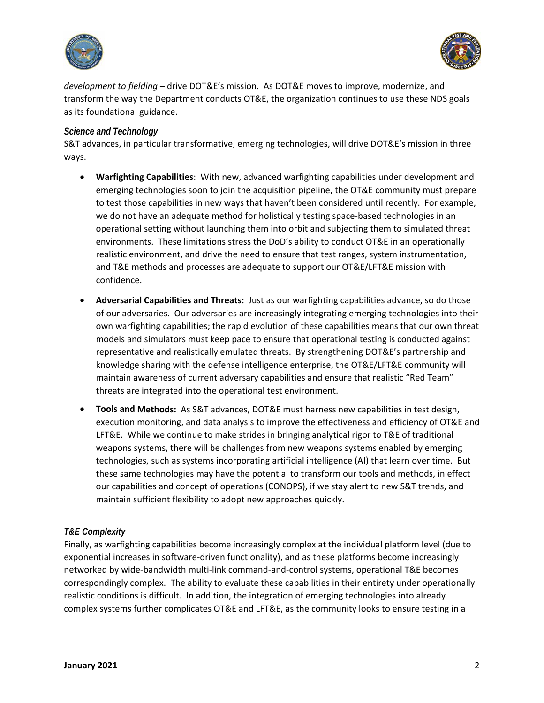



*development to fielding* – drive DOT&E's mission. As DOT&E moves to improve, modernize, and transform the way the Department conducts OT&E, the organization continues to use these NDS goals as its foundational guidance.

#### *Science and Technology*

S&T advances, in particular transformative, emerging technologies, will drive DOT&E's mission in three ways.

- **Warfighting Capabilities**: With new, advanced warfighting capabilities under development and emerging technologies soon to join the acquisition pipeline, the OT&E community must prepare to test those capabilities in new ways that haven't been considered until recently. For example, we do not have an adequate method for holistically testing space-based technologies in an operational setting without launching them into orbit and subjecting them to simulated threat environments. These limitations stress the DoD's ability to conduct OT&E in an operationally realistic environment, and drive the need to ensure that test ranges, system instrumentation, and T&E methods and processes are adequate to support our OT&E/LFT&E mission with confidence.
- **Adversarial Capabilities and Threats:** Just as our warfighting capabilities advance, so do those of our adversaries. Our adversaries are increasingly integrating emerging technologies into their own warfighting capabilities; the rapid evolution of these capabilities means that our own threat models and simulators must keep pace to ensure that operational testing is conducted against representative and realistically emulated threats. By strengthening DOT&E's partnership and knowledge sharing with the defense intelligence enterprise, the OT&E/LFT&E community will maintain awareness of current adversary capabilities and ensure that realistic "Red Team" threats are integrated into the operational test environment.
- **Tools and Methods:** As S&T advances, DOT&E must harness new capabilities in test design, execution monitoring, and data analysis to improve the effectiveness and efficiency of OT&E and LFT&E. While we continue to make strides in bringing analytical rigor to T&E of traditional weapons systems, there will be challenges from new weapons systems enabled by emerging technologies, such as systems incorporating artificial intelligence (AI) that learn over time. But these same technologies may have the potential to transform our tools and methods, in effect our capabilities and concept of operations (CONOPS), if we stay alert to new S&T trends, and maintain sufficient flexibility to adopt new approaches quickly.

#### *T&E Complexity*

Finally, as warfighting capabilities become increasingly complex at the individual platform level (due to exponential increases in software-driven functionality), and as these platforms become increasingly networked by wide‐bandwidth multi‐link command‐and‐control systems, operational T&E becomes correspondingly complex. The ability to evaluate these capabilities in their entirety under operationally realistic conditions is difficult. In addition, the integration of emerging technologies into already complex systems further complicates OT&E and LFT&E, as the community looks to ensure testing in a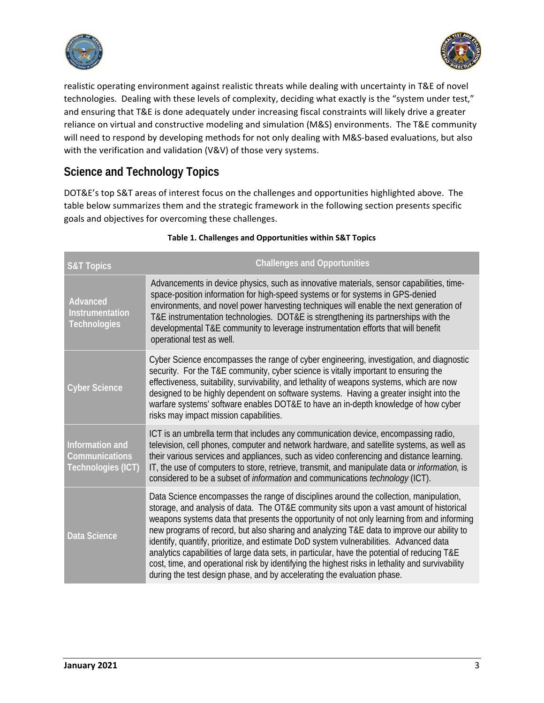



realistic operating environment against realistic threats while dealing with uncertainty in T&E of novel technologies. Dealing with these levels of complexity, deciding what exactly is the "system under test," and ensuring that T&E is done adequately under increasing fiscal constraints will likely drive a greater reliance on virtual and constructive modeling and simulation (M&S) environments. The T&E community will need to respond by developing methods for not only dealing with M&S-based evaluations, but also with the verification and validation (V&V) of those very systems.

## **Science and Technology Topics**

DOT&E's top S&T areas of interest focus on the challenges and opportunities highlighted above. The table below summarizes them and the strategic framework in the following section presents specific goals and objectives for overcoming these challenges.

| <b>S&amp;T Topics</b>                                          | <b>Challenges and Opportunities</b>                                                                                                                                                                                                                                                                                                                                                                                                                                                                                                                                                                                                                                                                                                                   |
|----------------------------------------------------------------|-------------------------------------------------------------------------------------------------------------------------------------------------------------------------------------------------------------------------------------------------------------------------------------------------------------------------------------------------------------------------------------------------------------------------------------------------------------------------------------------------------------------------------------------------------------------------------------------------------------------------------------------------------------------------------------------------------------------------------------------------------|
| Advanced<br>Instrumentation<br><b>Technologies</b>             | Advancements in device physics, such as innovative materials, sensor capabilities, time-<br>space-position information for high-speed systems or for systems in GPS-denied<br>environments, and novel power harvesting techniques will enable the next generation of<br>T&E instrumentation technologies. DOT&E is strengthening its partnerships with the<br>developmental T&E community to leverage instrumentation efforts that will benefit<br>operational test as well.                                                                                                                                                                                                                                                                          |
| <b>Cyber Science</b>                                           | Cyber Science encompasses the range of cyber engineering, investigation, and diagnostic<br>security. For the T&E community, cyber science is vitally important to ensuring the<br>effectiveness, suitability, survivability, and lethality of weapons systems, which are now<br>designed to be highly dependent on software systems. Having a greater insight into the<br>warfare systems' software enables DOT&E to have an in-depth knowledge of how cyber<br>risks may impact mission capabilities.                                                                                                                                                                                                                                                |
| Information and<br><b>Communications</b><br>Technologies (ICT) | ICT is an umbrella term that includes any communication device, encompassing radio,<br>television, cell phones, computer and network hardware, and satellite systems, as well as<br>their various services and appliances, such as video conferencing and distance learning.<br>IT, the use of computers to store, retrieve, transmit, and manipulate data or <i>information</i> , is<br>considered to be a subset of <i>information</i> and communications <i>technology</i> (ICT).                                                                                                                                                                                                                                                                  |
| <b>Data Science</b>                                            | Data Science encompasses the range of disciplines around the collection, manipulation,<br>storage, and analysis of data. The OT&E community sits upon a vast amount of historical<br>weapons systems data that presents the opportunity of not only learning from and informing<br>new programs of record, but also sharing and analyzing T&E data to improve our ability to<br>identify, quantify, prioritize, and estimate DoD system vulnerabilities. Advanced data<br>analytics capabilities of large data sets, in particular, have the potential of reducing T&E<br>cost, time, and operational risk by identifying the highest risks in lethality and survivability<br>during the test design phase, and by accelerating the evaluation phase. |

#### **Table 1. Challenges and Opportunities within S&T Topics**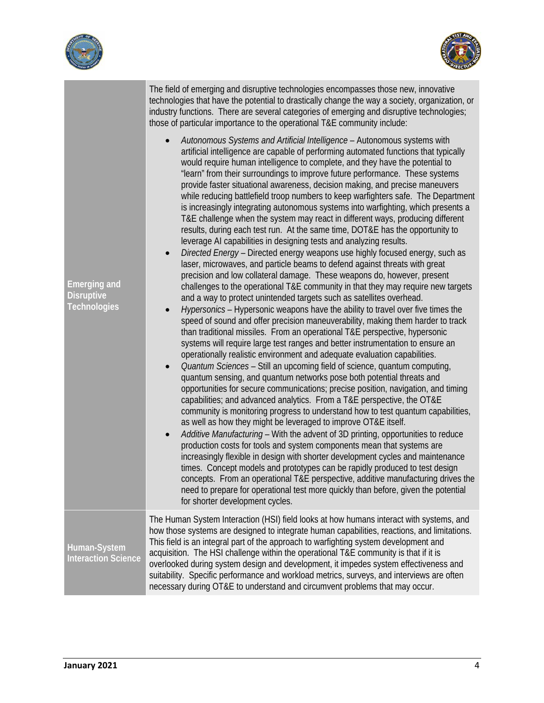



|                                                          | The field of emerging and disruptive technologies encompasses those new, innovative<br>technologies that have the potential to drastically change the way a society, organization, or<br>industry functions. There are several categories of emerging and disruptive technologies;<br>those of particular importance to the operational T&E community include:                                                                                                                                                                                                                                                                                                                                                                                                                                                                                                                                                                                                                                                                                                                                                                                                                                                                                                                                                                                                                                                                                                                                                                                                                                                                                                                                                                                                                                                                                                                                                                                                                                                                                                                                                                                                                                                                                                                                                                                                                                                                                                                                                                                                                                                                                                                                                                          |
|----------------------------------------------------------|-----------------------------------------------------------------------------------------------------------------------------------------------------------------------------------------------------------------------------------------------------------------------------------------------------------------------------------------------------------------------------------------------------------------------------------------------------------------------------------------------------------------------------------------------------------------------------------------------------------------------------------------------------------------------------------------------------------------------------------------------------------------------------------------------------------------------------------------------------------------------------------------------------------------------------------------------------------------------------------------------------------------------------------------------------------------------------------------------------------------------------------------------------------------------------------------------------------------------------------------------------------------------------------------------------------------------------------------------------------------------------------------------------------------------------------------------------------------------------------------------------------------------------------------------------------------------------------------------------------------------------------------------------------------------------------------------------------------------------------------------------------------------------------------------------------------------------------------------------------------------------------------------------------------------------------------------------------------------------------------------------------------------------------------------------------------------------------------------------------------------------------------------------------------------------------------------------------------------------------------------------------------------------------------------------------------------------------------------------------------------------------------------------------------------------------------------------------------------------------------------------------------------------------------------------------------------------------------------------------------------------------------------------------------------------------------------------------------------------------------|
| <b>Emerging and</b><br><b>Disruptive</b><br>Technologies | Autonomous Systems and Artificial Intelligence - Autonomous systems with<br>artificial intelligence are capable of performing automated functions that typically<br>would require human intelligence to complete, and they have the potential to<br>"learn" from their surroundings to improve future performance. These systems<br>provide faster situational awareness, decision making, and precise maneuvers<br>while reducing battlefield troop numbers to keep warfighters safe. The Department<br>is increasingly integrating autonomous systems into warfighting, which presents a<br>T&E challenge when the system may react in different ways, producing different<br>results, during each test run. At the same time, DOT&E has the opportunity to<br>leverage AI capabilities in designing tests and analyzing results.<br>Directed Energy - Directed energy weapons use highly focused energy, such as<br>$\bullet$<br>laser, microwaves, and particle beams to defend against threats with great<br>precision and low collateral damage. These weapons do, however, present<br>challenges to the operational T&E community in that they may require new targets<br>and a way to protect unintended targets such as satellites overhead.<br>Hypersonics - Hypersonic weapons have the ability to travel over five times the<br>$\bullet$<br>speed of sound and offer precision maneuverability, making them harder to track<br>than traditional missiles. From an operational T&E perspective, hypersonic<br>systems will require large test ranges and better instrumentation to ensure an<br>operationally realistic environment and adequate evaluation capabilities.<br>Quantum Sciences - Still an upcoming field of science, quantum computing,<br>$\bullet$<br>quantum sensing, and quantum networks pose both potential threats and<br>opportunities for secure communications; precise position, navigation, and timing<br>capabilities; and advanced analytics. From a T&E perspective, the OT&E<br>community is monitoring progress to understand how to test quantum capabilities,<br>as well as how they might be leveraged to improve OT&E itself.<br>Additive Manufacturing - With the advent of 3D printing, opportunities to reduce<br>$\bullet$<br>production costs for tools and system components mean that systems are<br>increasingly flexible in design with shorter development cycles and maintenance<br>times. Concept models and prototypes can be rapidly produced to test design<br>concepts. From an operational T&E perspective, additive manufacturing drives the<br>need to prepare for operational test more quickly than before, given the potential<br>for shorter development cycles. |
| Human-System<br><b>Interaction Science</b>               | The Human System Interaction (HSI) field looks at how humans interact with systems, and<br>how those systems are designed to integrate human capabilities, reactions, and limitations.<br>This field is an integral part of the approach to warfighting system development and<br>acquisition. The HSI challenge within the operational T&E community is that if it is<br>overlooked during system design and development, it impedes system effectiveness and<br>suitability. Specific performance and workload metrics, surveys, and interviews are often<br>necessary during OT&E to understand and circumvent problems that may occur.                                                                                                                                                                                                                                                                                                                                                                                                                                                                                                                                                                                                                                                                                                                                                                                                                                                                                                                                                                                                                                                                                                                                                                                                                                                                                                                                                                                                                                                                                                                                                                                                                                                                                                                                                                                                                                                                                                                                                                                                                                                                                              |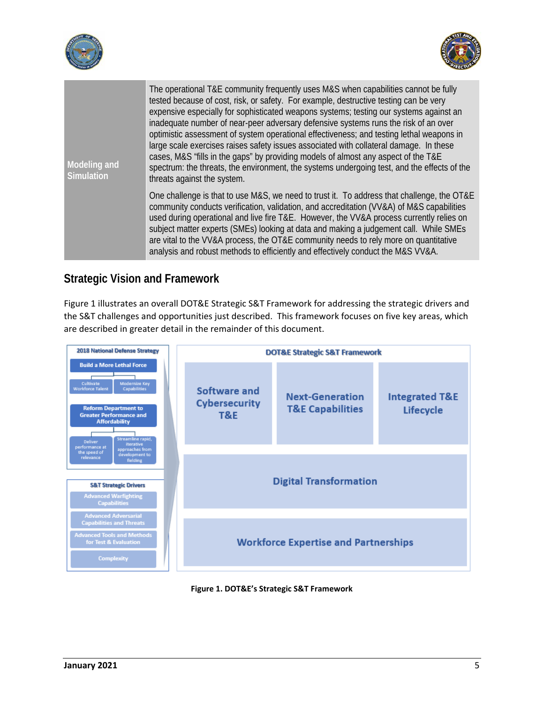



| <b>Modeling and</b><br>Simulation | The operational T&E community frequently uses M&S when capabilities cannot be fully<br>tested because of cost, risk, or safety. For example, destructive testing can be very<br>expensive especially for sophisticated weapons systems; testing our systems against an<br>inadequate number of near-peer adversary defensive systems runs the risk of an over<br>optimistic assessment of system operational effectiveness; and testing lethal weapons in<br>large scale exercises raises safety issues associated with collateral damage. In these<br>cases, M&S "fills in the gaps" by providing models of almost any aspect of the T&E<br>spectrum: the threats, the environment, the systems undergoing test, and the effects of the<br>threats against the system. |
|-----------------------------------|-------------------------------------------------------------------------------------------------------------------------------------------------------------------------------------------------------------------------------------------------------------------------------------------------------------------------------------------------------------------------------------------------------------------------------------------------------------------------------------------------------------------------------------------------------------------------------------------------------------------------------------------------------------------------------------------------------------------------------------------------------------------------|
|                                   | One challenge is that to use M&S, we need to trust it. To address that challenge, the OT&E<br>community conducts verification, validation, and accreditation (VV&A) of M&S capabilities<br>used during operational and live fire T&E. However, the VV&A process currently relies on<br>subject matter experts (SMEs) looking at data and making a judgement call. While SMEs<br>are vital to the VV&A process, the OT&E community needs to rely more on quantitative<br>analysis and robust methods to efficiently and effectively conduct the M&S VV&A.                                                                                                                                                                                                                |

## **Strategic Vision and Framework**

Figure 1 illustrates an overall DOT&E Strategic S&T Framework for addressing the strategic drivers and the S&T challenges and opportunities just described. This framework focuses on five key areas, which are described in greater detail in the remainder of this document.



**Figure 1. DOT&E's Strategic S&T Framework**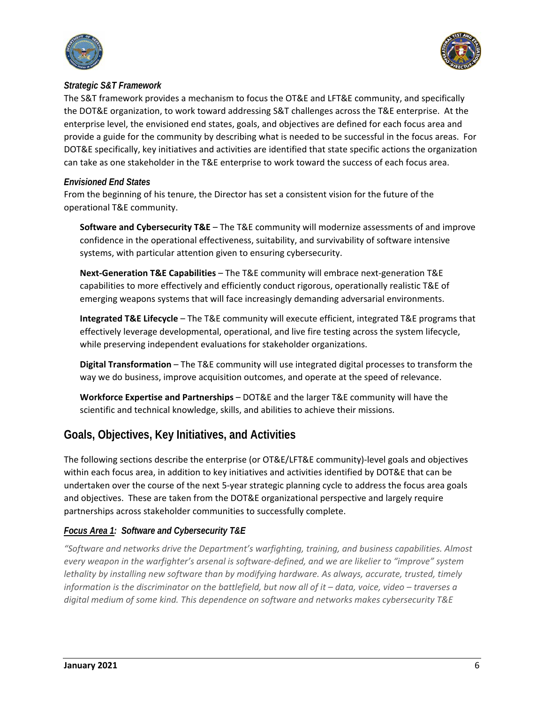



#### *Strategic S&T Framework*

The S&T framework provides a mechanism to focus the OT&E and LFT&E community, and specifically the DOT&E organization, to work toward addressing S&T challenges across the T&E enterprise. At the enterprise level, the envisioned end states, goals, and objectives are defined for each focus area and provide a guide for the community by describing what is needed to be successful in the focus areas. For DOT&E specifically, key initiatives and activities are identified that state specific actions the organization can take as one stakeholder in the T&E enterprise to work toward the success of each focus area.

#### *Envisioned End States*

From the beginning of his tenure, the Director has set a consistent vision for the future of the operational T&E community.

**Software and Cybersecurity T&E** – The T&E community will modernize assessments of and improve confidence in the operational effectiveness, suitability, and survivability of software intensive systems, with particular attention given to ensuring cybersecurity.

**Next‐Generation T&E Capabilities** – The T&E community will embrace next‐generation T&E capabilities to more effectively and efficiently conduct rigorous, operationally realistic T&E of emerging weapons systems that will face increasingly demanding adversarial environments.

**Integrated T&E Lifecycle** – The T&E community will execute efficient, integrated T&E programs that effectively leverage developmental, operational, and live fire testing across the system lifecycle, while preserving independent evaluations for stakeholder organizations.

**Digital Transformation** – The T&E community will use integrated digital processes to transform the way we do business, improve acquisition outcomes, and operate at the speed of relevance.

**Workforce Expertise and Partnerships** – DOT&E and the larger T&E community will have the scientific and technical knowledge, skills, and abilities to achieve their missions.

## **Goals, Objectives, Key Initiatives, and Activities**

The following sections describe the enterprise (or OT&E/LFT&E community)-level goals and objectives within each focus area, in addition to key initiatives and activities identified by DOT&E that can be undertaken over the course of the next 5‐year strategic planning cycle to address the focus area goals and objectives. These are taken from the DOT&E organizational perspective and largely require partnerships across stakeholder communities to successfully complete.

#### *Focus Area 1: Software and Cybersecurity T&E*

*"Software and networks drive the Department's warfighting, training, and business capabilities. Almost every weapon in the warfighter's arsenal is software‐defined, and we are likelier to "improve" system lethality by installing new software than by modifying hardware. As always, accurate, trusted, timely* information is the discriminator on the battlefield, but now all of it  $-$  data, voice, video  $-$  traverses a *digital medium of some kind. This dependence on software and networks makes cybersecurity T&E*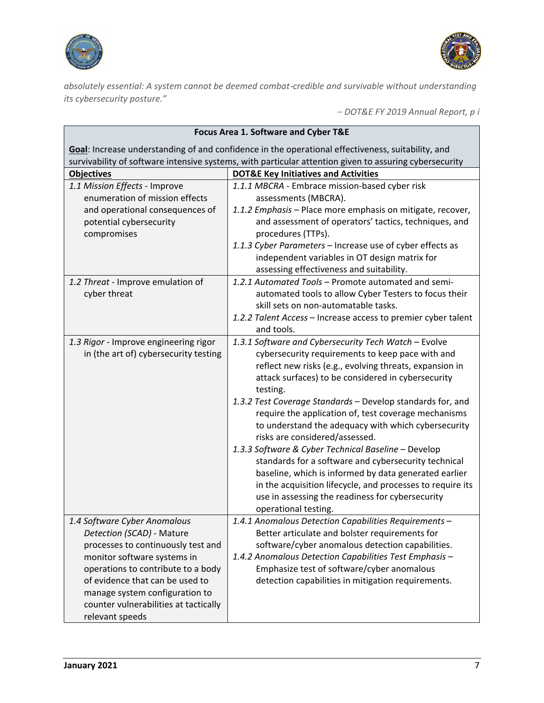



*absolutely essential: A system cannot be deemed combat*-*credible and survivable without understanding its cybersecurity posture."*

– *DOT&E FY 2019 Annual Report, p i*

| Focus Area 1. Software and Cyber T&E                                                                                                                                                                                                                                                                  |                                                                                                                                                                                                                                                                                                                                                                                                                                                                                                                                                                                                                                                                                                                                                                        |  |
|-------------------------------------------------------------------------------------------------------------------------------------------------------------------------------------------------------------------------------------------------------------------------------------------------------|------------------------------------------------------------------------------------------------------------------------------------------------------------------------------------------------------------------------------------------------------------------------------------------------------------------------------------------------------------------------------------------------------------------------------------------------------------------------------------------------------------------------------------------------------------------------------------------------------------------------------------------------------------------------------------------------------------------------------------------------------------------------|--|
| Goal: Increase understanding of and confidence in the operational effectiveness, suitability, and                                                                                                                                                                                                     |                                                                                                                                                                                                                                                                                                                                                                                                                                                                                                                                                                                                                                                                                                                                                                        |  |
| survivability of software intensive systems, with particular attention given to assuring cybersecurity                                                                                                                                                                                                |                                                                                                                                                                                                                                                                                                                                                                                                                                                                                                                                                                                                                                                                                                                                                                        |  |
| <b>Objectives</b>                                                                                                                                                                                                                                                                                     | <b>DOT&amp;E Key Initiatives and Activities</b>                                                                                                                                                                                                                                                                                                                                                                                                                                                                                                                                                                                                                                                                                                                        |  |
| 1.1 Mission Effects - Improve                                                                                                                                                                                                                                                                         | 1.1.1 MBCRA - Embrace mission-based cyber risk                                                                                                                                                                                                                                                                                                                                                                                                                                                                                                                                                                                                                                                                                                                         |  |
| enumeration of mission effects                                                                                                                                                                                                                                                                        | assessments (MBCRA).                                                                                                                                                                                                                                                                                                                                                                                                                                                                                                                                                                                                                                                                                                                                                   |  |
| and operational consequences of<br>potential cybersecurity<br>compromises                                                                                                                                                                                                                             | 1.1.2 Emphasis - Place more emphasis on mitigate, recover,<br>and assessment of operators' tactics, techniques, and<br>procedures (TTPs).                                                                                                                                                                                                                                                                                                                                                                                                                                                                                                                                                                                                                              |  |
|                                                                                                                                                                                                                                                                                                       | 1.1.3 Cyber Parameters - Increase use of cyber effects as<br>independent variables in OT design matrix for<br>assessing effectiveness and suitability.                                                                                                                                                                                                                                                                                                                                                                                                                                                                                                                                                                                                                 |  |
| 1.2 Threat - Improve emulation of<br>cyber threat                                                                                                                                                                                                                                                     | 1.2.1 Automated Tools - Promote automated and semi-<br>automated tools to allow Cyber Testers to focus their<br>skill sets on non-automatable tasks.<br>1.2.2 Talent Access - Increase access to premier cyber talent<br>and tools.                                                                                                                                                                                                                                                                                                                                                                                                                                                                                                                                    |  |
| 1.3 Rigor - Improve engineering rigor<br>in (the art of) cybersecurity testing                                                                                                                                                                                                                        | 1.3.1 Software and Cybersecurity Tech Watch - Evolve<br>cybersecurity requirements to keep pace with and<br>reflect new risks (e.g., evolving threats, expansion in<br>attack surfaces) to be considered in cybersecurity<br>testing.<br>1.3.2 Test Coverage Standards - Develop standards for, and<br>require the application of, test coverage mechanisms<br>to understand the adequacy with which cybersecurity<br>risks are considered/assessed.<br>1.3.3 Software & Cyber Technical Baseline - Develop<br>standards for a software and cybersecurity technical<br>baseline, which is informed by data generated earlier<br>in the acquisition lifecycle, and processes to require its<br>use in assessing the readiness for cybersecurity<br>operational testing. |  |
| 1.4 Software Cyber Anomalous<br>Detection (SCAD) - Mature<br>processes to continuously test and<br>monitor software systems in<br>operations to contribute to a body<br>of evidence that can be used to<br>manage system configuration to<br>counter vulnerabilities at tactically<br>relevant speeds | 1.4.1 Anomalous Detection Capabilities Requirements -<br>Better articulate and bolster requirements for<br>software/cyber anomalous detection capabilities.<br>1.4.2 Anomalous Detection Capabilities Test Emphasis -<br>Emphasize test of software/cyber anomalous<br>detection capabilities in mitigation requirements.                                                                                                                                                                                                                                                                                                                                                                                                                                              |  |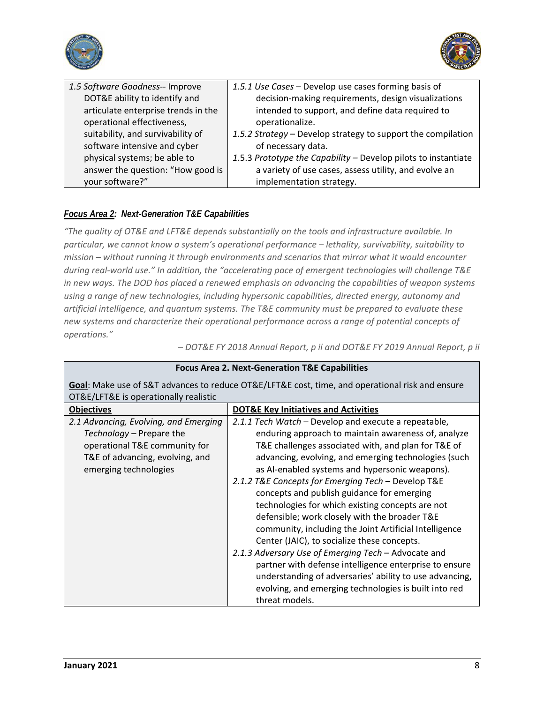



| 1.5 Software Goodness-- Improve     | 1.5.1 Use Cases - Develop use cases forming basis of           |
|-------------------------------------|----------------------------------------------------------------|
| DOT&E ability to identify and       | decision-making requirements, design visualizations            |
| articulate enterprise trends in the | intended to support, and define data required to               |
| operational effectiveness,          | operationalize.                                                |
| suitability, and survivability of   | 1.5.2 Strategy - Develop strategy to support the compilation   |
| software intensive and cyber        | of necessary data.                                             |
| physical systems; be able to        | 1.5.3 Prototype the Capability - Develop pilots to instantiate |
| answer the question: "How good is   | a variety of use cases, assess utility, and evolve an          |
| your software?"                     | implementation strategy.                                       |

#### *Focus Area 2: Next-Generation T&E Capabilities*

*"The quality of OT&E and LFT&E depends substantially on the tools and infrastructure available. In particular, we cannot know a system's operational performance – lethality, survivability, suitability to mission – without running it through environments and scenarios that mirror what it would encounter during real‐world use." In addition, the "accelerating pace of emergent technologies will challenge T&E in new ways. The DOD has placed a renewed emphasis on advancing the capabilities of weapon systems using a range of new technologies, including hypersonic capabilities, directed energy, autonomy and artificial intelligence, and quantum systems. The T&E community must be prepared to evaluate these new systems and characterize their operational performance across a range of potential concepts of operations."*

– *DOT&E FY 2018 Annual Report, p ii and DOT&E FY 2019 Annual Report, p ii*

| <b>Focus Area 2. Next-Generation T&amp;E Capabilities</b>                                       |                                                         |
|-------------------------------------------------------------------------------------------------|---------------------------------------------------------|
| Goal: Make use of S&T advances to reduce OT&E/LFT&E cost, time, and operational risk and ensure |                                                         |
| OT&E/LFT&E is operationally realistic                                                           |                                                         |
| <b>Objectives</b>                                                                               | <b>DOT&amp;E Key Initiatives and Activities</b>         |
| 2.1 Advancing, Evolving, and Emerging                                                           | 2.1.1 Tech Watch - Develop and execute a repeatable,    |
| Technology – Prepare the                                                                        | enduring approach to maintain awareness of, analyze     |
| operational T&E community for                                                                   | T&E challenges associated with, and plan for T&E of     |
| T&E of advancing, evolving, and                                                                 | advancing, evolving, and emerging technologies (such    |
| emerging technologies                                                                           | as AI-enabled systems and hypersonic weapons).          |
|                                                                                                 | 2.1.2 T&E Concepts for Emerging Tech - Develop T&E      |
|                                                                                                 | concepts and publish guidance for emerging              |
|                                                                                                 | technologies for which existing concepts are not        |
|                                                                                                 | defensible; work closely with the broader T&E           |
|                                                                                                 | community, including the Joint Artificial Intelligence  |
|                                                                                                 | Center (JAIC), to socialize these concepts.             |
|                                                                                                 | 2.1.3 Adversary Use of Emerging Tech - Advocate and     |
|                                                                                                 | partner with defense intelligence enterprise to ensure  |
|                                                                                                 | understanding of adversaries' ability to use advancing, |
|                                                                                                 | evolving, and emerging technologies is built into red   |
|                                                                                                 | threat models.                                          |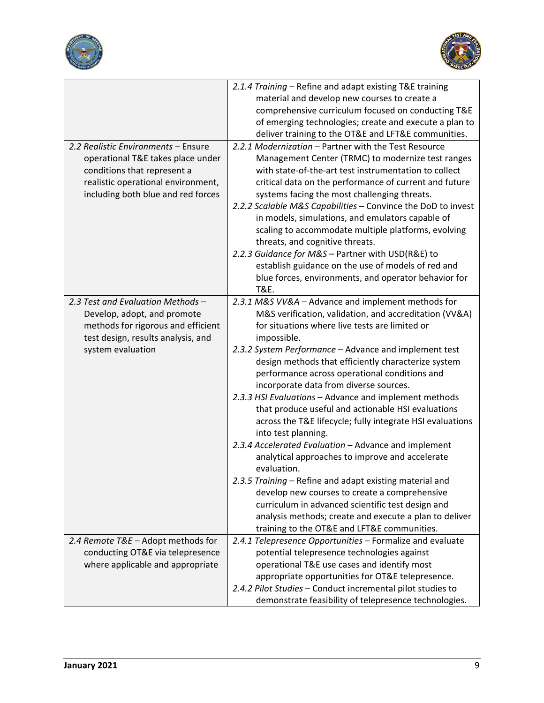



| 2.2 Realistic Environments - Ensure<br>operational T&E takes place under<br>conditions that represent a<br>realistic operational environment,<br>including both blue and red forces | 2.1.4 Training - Refine and adapt existing T&E training<br>material and develop new courses to create a<br>comprehensive curriculum focused on conducting T&E<br>of emerging technologies; create and execute a plan to<br>deliver training to the OT&E and LFT&E communities.<br>2.2.1 Modernization - Partner with the Test Resource<br>Management Center (TRMC) to modernize test ranges<br>with state-of-the-art test instrumentation to collect<br>critical data on the performance of current and future<br>systems facing the most challenging threats.<br>2.2.2 Scalable M&S Capabilities - Convince the DoD to invest<br>in models, simulations, and emulators capable of<br>scaling to accommodate multiple platforms, evolving<br>threats, and cognitive threats.<br>2.2.3 Guidance for M&S - Partner with USD(R&E) to                                                                                                                                                               |
|-------------------------------------------------------------------------------------------------------------------------------------------------------------------------------------|-------------------------------------------------------------------------------------------------------------------------------------------------------------------------------------------------------------------------------------------------------------------------------------------------------------------------------------------------------------------------------------------------------------------------------------------------------------------------------------------------------------------------------------------------------------------------------------------------------------------------------------------------------------------------------------------------------------------------------------------------------------------------------------------------------------------------------------------------------------------------------------------------------------------------------------------------------------------------------------------------|
|                                                                                                                                                                                     | establish guidance on the use of models of red and<br>blue forces, environments, and operator behavior for<br><b>T&amp;E.</b>                                                                                                                                                                                                                                                                                                                                                                                                                                                                                                                                                                                                                                                                                                                                                                                                                                                                   |
| 2.3 Test and Evaluation Methods -<br>Develop, adopt, and promote<br>methods for rigorous and efficient<br>test design, results analysis, and<br>system evaluation                   | 2.3.1 M&S VV&A - Advance and implement methods for<br>M&S verification, validation, and accreditation (VV&A)<br>for situations where live tests are limited or<br>impossible.<br>2.3.2 System Performance - Advance and implement test<br>design methods that efficiently characterize system<br>performance across operational conditions and<br>incorporate data from diverse sources.<br>2.3.3 HSI Evaluations - Advance and implement methods<br>that produce useful and actionable HSI evaluations<br>across the T&E lifecycle; fully integrate HSI evaluations<br>into test planning.<br>2.3.4 Accelerated Evaluation - Advance and implement<br>analytical approaches to improve and accelerate<br>evaluation.<br>2.3.5 Training - Refine and adapt existing material and<br>develop new courses to create a comprehensive<br>curriculum in advanced scientific test design and<br>analysis methods; create and execute a plan to deliver<br>training to the OT&E and LFT&E communities. |
| 2.4 Remote T&E - Adopt methods for                                                                                                                                                  | 2.4.1 Telepresence Opportunities - Formalize and evaluate                                                                                                                                                                                                                                                                                                                                                                                                                                                                                                                                                                                                                                                                                                                                                                                                                                                                                                                                       |
| conducting OT&E via telepresence<br>where applicable and appropriate                                                                                                                | potential telepresence technologies against<br>operational T&E use cases and identify most<br>appropriate opportunities for OT&E telepresence.<br>2.4.2 Pilot Studies - Conduct incremental pilot studies to<br>demonstrate feasibility of telepresence technologies.                                                                                                                                                                                                                                                                                                                                                                                                                                                                                                                                                                                                                                                                                                                           |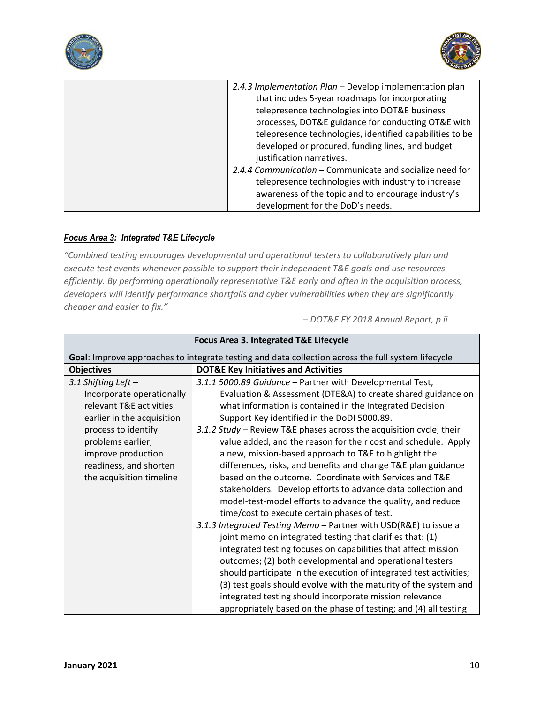



| 2.4.3 Implementation Plan - Develop implementation plan  |
|----------------------------------------------------------|
|                                                          |
| that includes 5-year roadmaps for incorporating          |
| telepresence technologies into DOT&E business            |
| processes, DOT&E guidance for conducting OT&E with       |
| telepresence technologies, identified capabilities to be |
| developed or procured, funding lines, and budget         |
| justification narratives.                                |
| 2.4.4 Communication - Communicate and socialize need for |
| telepresence technologies with industry to increase      |
| awareness of the topic and to encourage industry's       |
| development for the DoD's needs.                         |

#### *Focus Area 3: Integrated T&E Lifecycle*

*"Combined testing encourages developmental and operational testers to collaboratively plan and execute test events whenever possible to support their independent T&E goals and use resources efficiently. By performing operationally representative T&E early and often in the acquisition process, developers will identify performance shortfalls and cyber vulnerabilities when they are significantly cheaper and easier to fix."*

– *DOT&E FY 2018 Annual Report, p ii*

| <b>Focus Area 3. Integrated T&amp;E Lifecycle</b>                                                                                                                                                                                 |                                                                                                                                                                                                                                                                                                                                                                                                                                                                                                                                                                                                                                                                                                                                                                                                                                                                                                                                                                                                                                                                                                                                                                                                                      |  |
|-----------------------------------------------------------------------------------------------------------------------------------------------------------------------------------------------------------------------------------|----------------------------------------------------------------------------------------------------------------------------------------------------------------------------------------------------------------------------------------------------------------------------------------------------------------------------------------------------------------------------------------------------------------------------------------------------------------------------------------------------------------------------------------------------------------------------------------------------------------------------------------------------------------------------------------------------------------------------------------------------------------------------------------------------------------------------------------------------------------------------------------------------------------------------------------------------------------------------------------------------------------------------------------------------------------------------------------------------------------------------------------------------------------------------------------------------------------------|--|
| Goal: Improve approaches to integrate testing and data collection across the full system lifecycle                                                                                                                                |                                                                                                                                                                                                                                                                                                                                                                                                                                                                                                                                                                                                                                                                                                                                                                                                                                                                                                                                                                                                                                                                                                                                                                                                                      |  |
| <b>Objectives</b>                                                                                                                                                                                                                 | <b>DOT&amp;E Key Initiatives and Activities</b>                                                                                                                                                                                                                                                                                                                                                                                                                                                                                                                                                                                                                                                                                                                                                                                                                                                                                                                                                                                                                                                                                                                                                                      |  |
| 3.1 Shifting Left -<br>Incorporate operationally<br>relevant T&E activities<br>earlier in the acquisition<br>process to identify<br>problems earlier,<br>improve production<br>readiness, and shorten<br>the acquisition timeline | 3.1.1 5000.89 Guidance - Partner with Developmental Test,<br>Evaluation & Assessment (DTE&A) to create shared guidance on<br>what information is contained in the Integrated Decision<br>Support Key identified in the DoDI 5000.89.<br>3.1.2 Study – Review T&E phases across the acquisition cycle, their<br>value added, and the reason for their cost and schedule. Apply<br>a new, mission-based approach to T&E to highlight the<br>differences, risks, and benefits and change T&E plan guidance<br>based on the outcome. Coordinate with Services and T&E<br>stakeholders. Develop efforts to advance data collection and<br>model-test-model efforts to advance the quality, and reduce<br>time/cost to execute certain phases of test.<br>3.1.3 Integrated Testing Memo - Partner with USD(R&E) to issue a<br>joint memo on integrated testing that clarifies that: (1)<br>integrated testing focuses on capabilities that affect mission<br>outcomes; (2) both developmental and operational testers<br>should participate in the execution of integrated test activities;<br>(3) test goals should evolve with the maturity of the system and<br>integrated testing should incorporate mission relevance |  |
|                                                                                                                                                                                                                                   | appropriately based on the phase of testing; and (4) all testing                                                                                                                                                                                                                                                                                                                                                                                                                                                                                                                                                                                                                                                                                                                                                                                                                                                                                                                                                                                                                                                                                                                                                     |  |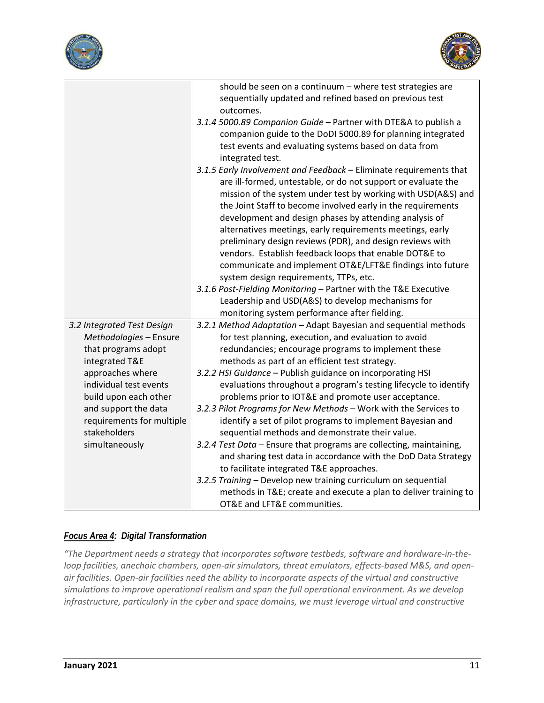



|                                                      | should be seen on a continuum - where test strategies are<br>sequentially updated and refined based on previous test<br>outcomes.                                                                                                                                                                                                                                                                                                                                                                                                                                                                                         |
|------------------------------------------------------|---------------------------------------------------------------------------------------------------------------------------------------------------------------------------------------------------------------------------------------------------------------------------------------------------------------------------------------------------------------------------------------------------------------------------------------------------------------------------------------------------------------------------------------------------------------------------------------------------------------------------|
|                                                      | 3.1.4 5000.89 Companion Guide - Partner with DTE&A to publish a<br>companion guide to the DoDI 5000.89 for planning integrated<br>test events and evaluating systems based on data from<br>integrated test.                                                                                                                                                                                                                                                                                                                                                                                                               |
|                                                      | 3.1.5 Early Involvement and Feedback - Eliminate requirements that<br>are ill-formed, untestable, or do not support or evaluate the<br>mission of the system under test by working with USD(A&S) and<br>the Joint Staff to become involved early in the requirements<br>development and design phases by attending analysis of<br>alternatives meetings, early requirements meetings, early<br>preliminary design reviews (PDR), and design reviews with<br>vendors. Establish feedback loops that enable DOT&E to<br>communicate and implement OT&E/LFT&E findings into future<br>system design requirements, TTPs, etc. |
|                                                      | 3.1.6 Post-Fielding Monitoring - Partner with the T&E Executive                                                                                                                                                                                                                                                                                                                                                                                                                                                                                                                                                           |
|                                                      | Leadership and USD(A&S) to develop mechanisms for                                                                                                                                                                                                                                                                                                                                                                                                                                                                                                                                                                         |
|                                                      | monitoring system performance after fielding.                                                                                                                                                                                                                                                                                                                                                                                                                                                                                                                                                                             |
| 3.2 Integrated Test Design<br>Methodologies - Ensure | 3.2.1 Method Adaptation - Adapt Bayesian and sequential methods<br>for test planning, execution, and evaluation to avoid                                                                                                                                                                                                                                                                                                                                                                                                                                                                                                  |
| that programs adopt                                  | redundancies; encourage programs to implement these                                                                                                                                                                                                                                                                                                                                                                                                                                                                                                                                                                       |
| integrated T&E                                       | methods as part of an efficient test strategy.                                                                                                                                                                                                                                                                                                                                                                                                                                                                                                                                                                            |
| approaches where                                     | 3.2.2 HSI Guidance - Publish guidance on incorporating HSI                                                                                                                                                                                                                                                                                                                                                                                                                                                                                                                                                                |
| individual test events                               | evaluations throughout a program's testing lifecycle to identify                                                                                                                                                                                                                                                                                                                                                                                                                                                                                                                                                          |
| build upon each other                                | problems prior to IOT&E and promote user acceptance.                                                                                                                                                                                                                                                                                                                                                                                                                                                                                                                                                                      |
| and support the data                                 | 3.2.3 Pilot Programs for New Methods - Work with the Services to                                                                                                                                                                                                                                                                                                                                                                                                                                                                                                                                                          |
| requirements for multiple                            | identify a set of pilot programs to implement Bayesian and                                                                                                                                                                                                                                                                                                                                                                                                                                                                                                                                                                |
| stakeholders                                         | sequential methods and demonstrate their value.                                                                                                                                                                                                                                                                                                                                                                                                                                                                                                                                                                           |
| simultaneously                                       | 3.2.4 Test Data - Ensure that programs are collecting, maintaining,                                                                                                                                                                                                                                                                                                                                                                                                                                                                                                                                                       |
|                                                      | and sharing test data in accordance with the DoD Data Strategy                                                                                                                                                                                                                                                                                                                                                                                                                                                                                                                                                            |
|                                                      | to facilitate integrated T&E approaches.<br>3.2.5 Training - Develop new training curriculum on sequential                                                                                                                                                                                                                                                                                                                                                                                                                                                                                                                |
|                                                      | methods in T&E create and execute a plan to deliver training to                                                                                                                                                                                                                                                                                                                                                                                                                                                                                                                                                           |
|                                                      | OT&E and LFT&E communities.                                                                                                                                                                                                                                                                                                                                                                                                                                                                                                                                                                                               |
|                                                      |                                                                                                                                                                                                                                                                                                                                                                                                                                                                                                                                                                                                                           |

#### *Focus Area 4: Digital Transformation*

*"The Department needs a strategy that incorporates software testbeds, software and hardware‐in‐the‐ loop facilities, anechoic chambers, open‐air simulators, threat emulators, effects‐based M&S, and open‐* air facilities. Open-air facilities need the ability to incorporate aspects of the virtual and constructive *simulations to improve operational realism and span the full operational environment. As we develop infrastructure, particularly in the cyber and space domains, we must leverage virtual and constructive*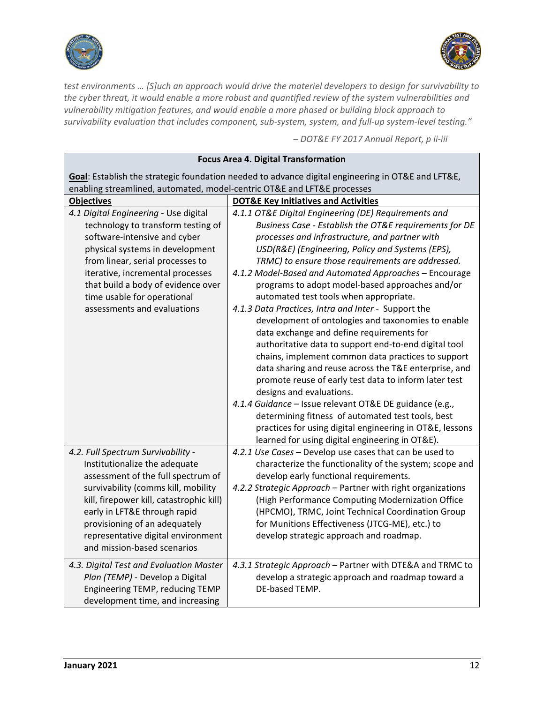



*test environments … [S]uch an approach would drive the materiel developers to design for survivability to the cyber threat, it would enable a more robust and quantified review of the system vulnerabilities and vulnerability mitigation features, and would enable a more phased or building block approach to survivability evaluation that includes component, sub‐system, system, and full‐up system‐level testing."*

– *DOT&E FY 2017 Annual Report, p ii‐iii*

| <b>Focus Area 4. Digital Transformation</b>                                                                                                                                                                                                                                                                                        |                                                                                                                                                                                                                                                                                                                                                                                                                                                                                                                                                                                                                                                                                                                                                                                                                                                                                                                                                                                                                                                                                        |  |
|------------------------------------------------------------------------------------------------------------------------------------------------------------------------------------------------------------------------------------------------------------------------------------------------------------------------------------|----------------------------------------------------------------------------------------------------------------------------------------------------------------------------------------------------------------------------------------------------------------------------------------------------------------------------------------------------------------------------------------------------------------------------------------------------------------------------------------------------------------------------------------------------------------------------------------------------------------------------------------------------------------------------------------------------------------------------------------------------------------------------------------------------------------------------------------------------------------------------------------------------------------------------------------------------------------------------------------------------------------------------------------------------------------------------------------|--|
| Goal: Establish the strategic foundation needed to advance digital engineering in OT&E and LFT&E,                                                                                                                                                                                                                                  |                                                                                                                                                                                                                                                                                                                                                                                                                                                                                                                                                                                                                                                                                                                                                                                                                                                                                                                                                                                                                                                                                        |  |
| enabling streamlined, automated, model-centric OT&E and LFT&E processes                                                                                                                                                                                                                                                            |                                                                                                                                                                                                                                                                                                                                                                                                                                                                                                                                                                                                                                                                                                                                                                                                                                                                                                                                                                                                                                                                                        |  |
| <b>Objectives</b>                                                                                                                                                                                                                                                                                                                  | <b>DOT&amp;E Key Initiatives and Activities</b>                                                                                                                                                                                                                                                                                                                                                                                                                                                                                                                                                                                                                                                                                                                                                                                                                                                                                                                                                                                                                                        |  |
| 4.1 Digital Engineering - Use digital<br>technology to transform testing of<br>software-intensive and cyber<br>physical systems in development<br>from linear, serial processes to<br>iterative, incremental processes<br>that build a body of evidence over<br>time usable for operational<br>assessments and evaluations         | 4.1.1 OT&E Digital Engineering (DE) Requirements and<br>Business Case - Establish the OT&E requirements for DE<br>processes and infrastructure, and partner with<br>USD(R&E) (Engineering, Policy and Systems (EPS),<br>TRMC) to ensure those requirements are addressed.<br>4.1.2 Model-Based and Automated Approaches - Encourage<br>programs to adopt model-based approaches and/or<br>automated test tools when appropriate.<br>4.1.3 Data Practices, Intra and Inter - Support the<br>development of ontologies and taxonomies to enable<br>data exchange and define requirements for<br>authoritative data to support end-to-end digital tool<br>chains, implement common data practices to support<br>data sharing and reuse across the T&E enterprise, and<br>promote reuse of early test data to inform later test<br>designs and evaluations.<br>4.1.4 Guidance - Issue relevant OT&E DE guidance (e.g.,<br>determining fitness of automated test tools, best<br>practices for using digital engineering in OT&E, lessons<br>learned for using digital engineering in OT&E). |  |
| 4.2. Full Spectrum Survivability -<br>Institutionalize the adequate<br>assessment of the full spectrum of<br>survivability (comms kill, mobility<br>kill, firepower kill, catastrophic kill)<br>early in LFT&E through rapid<br>provisioning of an adequately<br>representative digital environment<br>and mission-based scenarios | 4.2.1 Use Cases - Develop use cases that can be used to<br>characterize the functionality of the system; scope and<br>develop early functional requirements.<br>4.2.2 Strategic Approach - Partner with right organizations<br>(High Performance Computing Modernization Office<br>(HPCMO), TRMC, Joint Technical Coordination Group<br>for Munitions Effectiveness (JTCG-ME), etc.) to<br>develop strategic approach and roadmap.                                                                                                                                                                                                                                                                                                                                                                                                                                                                                                                                                                                                                                                     |  |
| 4.3. Digital Test and Evaluation Master<br>Plan (TEMP) - Develop a Digital<br>Engineering TEMP, reducing TEMP<br>development time, and increasing                                                                                                                                                                                  | 4.3.1 Strategic Approach - Partner with DTE&A and TRMC to<br>develop a strategic approach and roadmap toward a<br>DE-based TEMP.                                                                                                                                                                                                                                                                                                                                                                                                                                                                                                                                                                                                                                                                                                                                                                                                                                                                                                                                                       |  |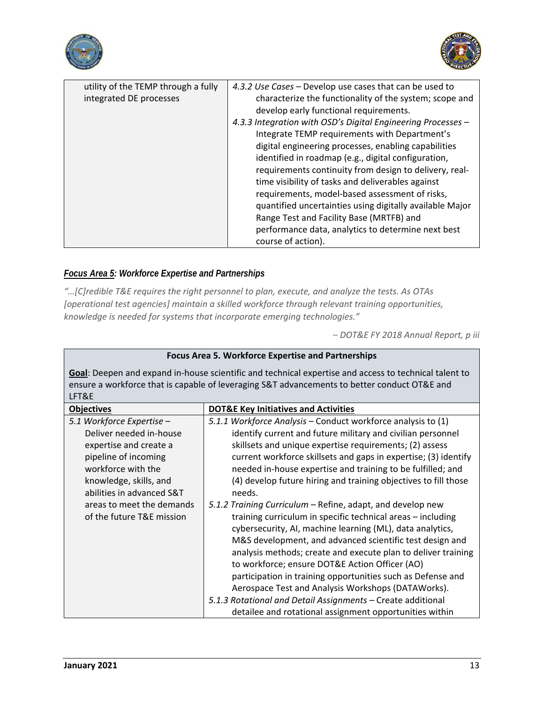



| 4.3.2 Use Cases – Develop use cases that can be used to      |
|--------------------------------------------------------------|
| characterize the functionality of the system; scope and      |
| develop early functional requirements.                       |
| 4.3.3 Integration with OSD's Digital Engineering Processes - |
| Integrate TEMP requirements with Department's                |
| digital engineering processes, enabling capabilities         |
| identified in roadmap (e.g., digital configuration,          |
| requirements continuity from design to delivery, real-       |
| time visibility of tasks and deliverables against            |
| requirements, model-based assessment of risks,               |
| quantified uncertainties using digitally available Major     |
| Range Test and Facility Base (MRTFB) and                     |
| performance data, analytics to determine next best           |
| course of action).                                           |
|                                                              |

## *Focus Area 5: Workforce Expertise and Partnerships*

*"…[C]redible T&E requires the right personnel to plan, execute, and analyze the tests. As OTAs [operational test agencies] maintain a skilled workforce through relevant training opportunities, knowledge is needed for systems that incorporate emerging technologies."* 

– *DOT&E FY 2018 Annual Report, p iii*

| <b>Focus Area 5. Workforce Expertise and Partnerships</b>                                                                                                                                                                                     |                                                                                                                                                                                                                                                                                                                                                                                                                                                                                                                                                                                                                                                                                                                                                                                                                                                                                                                                                                                                                               |  |  |  |
|-----------------------------------------------------------------------------------------------------------------------------------------------------------------------------------------------------------------------------------------------|-------------------------------------------------------------------------------------------------------------------------------------------------------------------------------------------------------------------------------------------------------------------------------------------------------------------------------------------------------------------------------------------------------------------------------------------------------------------------------------------------------------------------------------------------------------------------------------------------------------------------------------------------------------------------------------------------------------------------------------------------------------------------------------------------------------------------------------------------------------------------------------------------------------------------------------------------------------------------------------------------------------------------------|--|--|--|
| Goal: Deepen and expand in-house scientific and technical expertise and access to technical talent to<br>ensure a workforce that is capable of leveraging S&T advancements to better conduct OT&E and<br>LFT&E                                |                                                                                                                                                                                                                                                                                                                                                                                                                                                                                                                                                                                                                                                                                                                                                                                                                                                                                                                                                                                                                               |  |  |  |
| <b>Objectives</b>                                                                                                                                                                                                                             | <b>DOT&amp;E Key Initiatives and Activities</b>                                                                                                                                                                                                                                                                                                                                                                                                                                                                                                                                                                                                                                                                                                                                                                                                                                                                                                                                                                               |  |  |  |
| 5.1 Workforce Expertise -<br>Deliver needed in-house<br>expertise and create a<br>pipeline of incoming<br>workforce with the<br>knowledge, skills, and<br>abilities in advanced S&T<br>areas to meet the demands<br>of the future T&E mission | 5.1.1 Workforce Analysis – Conduct workforce analysis to (1)<br>identify current and future military and civilian personnel<br>skillsets and unique expertise requirements; (2) assess<br>current workforce skillsets and gaps in expertise; (3) identify<br>needed in-house expertise and training to be fulfilled; and<br>(4) develop future hiring and training objectives to fill those<br>needs.<br>5.1.2 Training Curriculum - Refine, adapt, and develop new<br>training curriculum in specific technical areas - including<br>cybersecurity, AI, machine learning (ML), data analytics,<br>M&S development, and advanced scientific test design and<br>analysis methods; create and execute plan to deliver training<br>to workforce; ensure DOT&E Action Officer (AO)<br>participation in training opportunities such as Defense and<br>Aerospace Test and Analysis Workshops (DATAWorks).<br>5.1.3 Rotational and Detail Assignments - Create additional<br>detailee and rotational assignment opportunities within |  |  |  |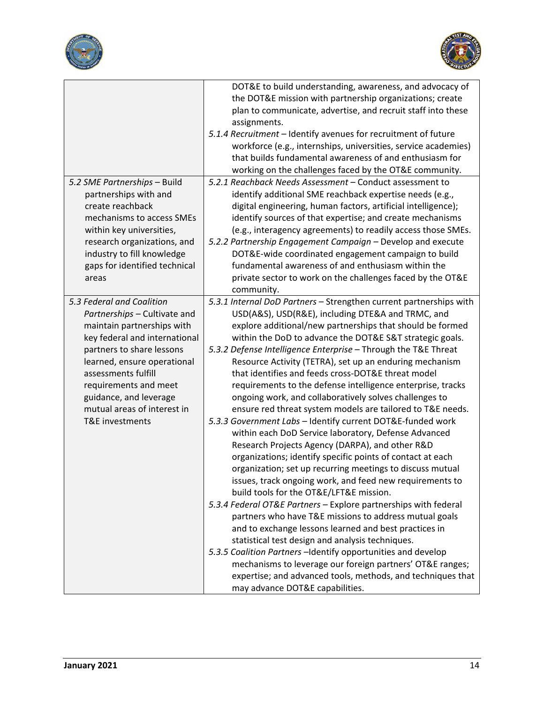



|                               | DOT&E to build understanding, awareness, and advocacy of           |
|-------------------------------|--------------------------------------------------------------------|
|                               | the DOT&E mission with partnership organizations; create           |
|                               | plan to communicate, advertise, and recruit staff into these       |
|                               | assignments.                                                       |
|                               | 5.1.4 Recruitment - Identify avenues for recruitment of future     |
|                               | workforce (e.g., internships, universities, service academies)     |
|                               | that builds fundamental awareness of and enthusiasm for            |
|                               | working on the challenges faced by the OT&E community.             |
| 5.2 SME Partnerships - Build  | 5.2.1 Reachback Needs Assessment - Conduct assessment to           |
| partnerships with and         | identify additional SME reachback expertise needs (e.g.,           |
| create reachback              | digital engineering, human factors, artificial intelligence);      |
| mechanisms to access SMEs     | identify sources of that expertise; and create mechanisms          |
| within key universities,      | (e.g., interagency agreements) to readily access those SMEs.       |
| research organizations, and   | 5.2.2 Partnership Engagement Campaign - Develop and execute        |
| industry to fill knowledge    | DOT&E-wide coordinated engagement campaign to build                |
| gaps for identified technical | fundamental awareness of and enthusiasm within the                 |
| areas                         | private sector to work on the challenges faced by the OT&E         |
|                               | community.                                                         |
| 5.3 Federal and Coalition     | 5.3.1 Internal DoD Partners - Strengthen current partnerships with |
| Partnerships - Cultivate and  | USD(A&S), USD(R&E), including DTE&A and TRMC, and                  |
| maintain partnerships with    | explore additional/new partnerships that should be formed          |
| key federal and international | within the DoD to advance the DOT&E S&T strategic goals.           |
| partners to share lessons     | 5.3.2 Defense Intelligence Enterprise - Through the T&E Threat     |
| learned, ensure operational   | Resource Activity (TETRA), set up an enduring mechanism            |
| assessments fulfill           | that identifies and feeds cross-DOT&E threat model                 |
| requirements and meet         | requirements to the defense intelligence enterprise, tracks        |
| guidance, and leverage        | ongoing work, and collaboratively solves challenges to             |
| mutual areas of interest in   | ensure red threat system models are tailored to T&E needs.         |
| T&E investments               | 5.3.3 Government Labs - Identify current DOT&E-funded work         |
|                               | within each DoD Service laboratory, Defense Advanced               |
|                               | Research Projects Agency (DARPA), and other R&D                    |
|                               | organizations; identify specific points of contact at each         |
|                               | organization; set up recurring meetings to discuss mutual          |
|                               | issues, track ongoing work, and feed new requirements to           |
|                               | build tools for the OT&E/LFT&E mission.                            |
|                               | 5.3.4 Federal OT&E Partners - Explore partnerships with federal    |
|                               | partners who have T&E missions to address mutual goals             |
|                               | and to exchange lessons learned and best practices in              |
|                               |                                                                    |
|                               | statistical test design and analysis techniques.                   |
|                               | 5.3.5 Coalition Partners - Identify opportunities and develop      |
|                               | mechanisms to leverage our foreign partners' OT&E ranges;          |
|                               | expertise; and advanced tools, methods, and techniques that        |
|                               | may advance DOT&E capabilities.                                    |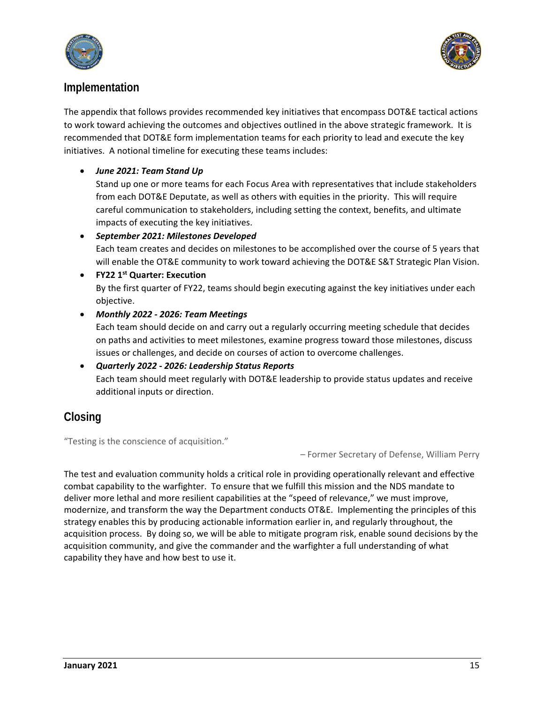



## **Implementation**

The appendix that follows provides recommended key initiatives that encompass DOT&E tactical actions to work toward achieving the outcomes and objectives outlined in the above strategic framework. It is recommended that DOT&E form implementation teams for each priority to lead and execute the key initiatives. A notional timeline for executing these teams includes:

#### *June 2021: Team Stand Up*

Stand up one or more teams for each Focus Area with representatives that include stakeholders from each DOT&E Deputate, as well as others with equities in the priority. This will require careful communication to stakeholders, including setting the context, benefits, and ultimate impacts of executing the key initiatives.

#### *September 2021: Milestones Developed*

Each team creates and decides on milestones to be accomplished over the course of 5 years that will enable the OT&E community to work toward achieving the DOT&E S&T Strategic Plan Vision.

#### **FY22 1st Quarter: Execution**

By the first quarter of FY22, teams should begin executing against the key initiatives under each objective.

#### *Monthly 2022 ‐ 2026: Team Meetings*

Each team should decide on and carry out a regularly occurring meeting schedule that decides on paths and activities to meet milestones, examine progress toward those milestones, discuss issues or challenges, and decide on courses of action to overcome challenges.

## *Quarterly 2022 ‐ 2026: Leadership Status Reports* Each team should meet regularly with DOT&E leadership to provide status updates and receive additional inputs or direction.

## **Closing**

"Testing is the conscience of acquisition."

– Former Secretary of Defense, William Perry

The test and evaluation community holds a critical role in providing operationally relevant and effective combat capability to the warfighter. To ensure that we fulfill this mission and the NDS mandate to deliver more lethal and more resilient capabilities at the "speed of relevance," we must improve, modernize, and transform the way the Department conducts OT&E. Implementing the principles of this strategy enables this by producing actionable information earlier in, and regularly throughout, the acquisition process. By doing so, we will be able to mitigate program risk, enable sound decisions by the acquisition community, and give the commander and the warfighter a full understanding of what capability they have and how best to use it.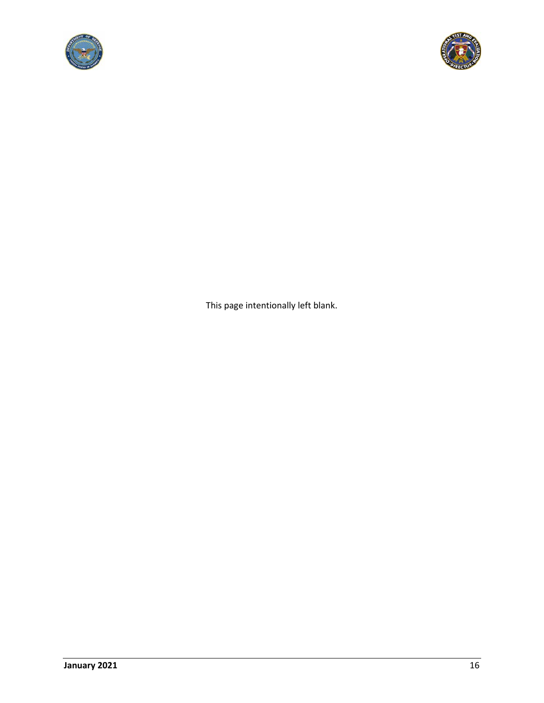



This page intentionally left blank.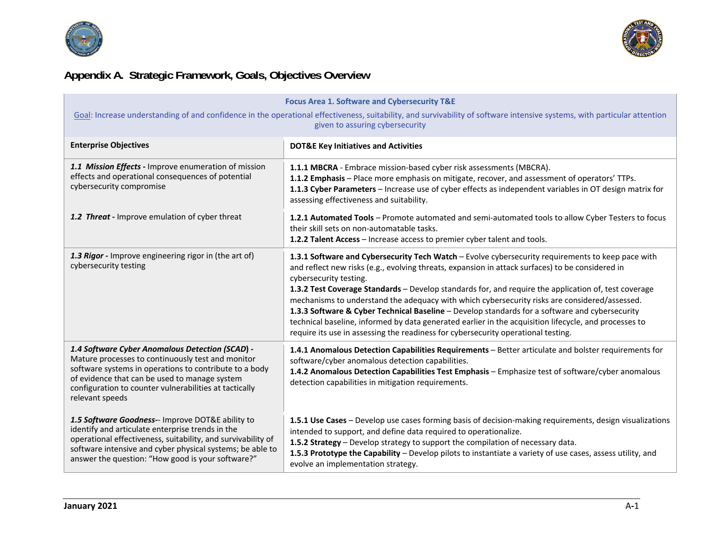



# **Appendix A. Strategic Framework, Goals, Objectives Overview**

| <b>Focus Area 1. Software and Cybersecurity T&amp;E</b><br>Goal: Increase understanding of and confidence in the operational effectiveness, suitability, and survivability of software intensive systems, with particular attention<br>given to assuring cybersecurity                       |                                                                                                                                                                                                                                                                                                                                                                                                                                                                                                                                                                                                                                                                                                                                          |  |
|----------------------------------------------------------------------------------------------------------------------------------------------------------------------------------------------------------------------------------------------------------------------------------------------|------------------------------------------------------------------------------------------------------------------------------------------------------------------------------------------------------------------------------------------------------------------------------------------------------------------------------------------------------------------------------------------------------------------------------------------------------------------------------------------------------------------------------------------------------------------------------------------------------------------------------------------------------------------------------------------------------------------------------------------|--|
| <b>Enterprise Objectives</b>                                                                                                                                                                                                                                                                 | <b>DOT&amp;E Key Initiatives and Activities</b>                                                                                                                                                                                                                                                                                                                                                                                                                                                                                                                                                                                                                                                                                          |  |
| 1.1 Mission Effects - Improve enumeration of mission<br>effects and operational consequences of potential<br>cybersecurity compromise                                                                                                                                                        | 1.1.1 MBCRA - Embrace mission-based cyber risk assessments (MBCRA).<br>1.1.2 Emphasis - Place more emphasis on mitigate, recover, and assessment of operators' TTPs.<br>1.1.3 Cyber Parameters - Increase use of cyber effects as independent variables in OT design matrix for<br>assessing effectiveness and suitability.                                                                                                                                                                                                                                                                                                                                                                                                              |  |
| 1.2 Threat - Improve emulation of cyber threat                                                                                                                                                                                                                                               | 1.2.1 Automated Tools - Promote automated and semi-automated tools to allow Cyber Testers to focus<br>their skill sets on non-automatable tasks.<br>1.2.2 Talent Access - Increase access to premier cyber talent and tools.                                                                                                                                                                                                                                                                                                                                                                                                                                                                                                             |  |
| 1.3 Rigor - Improve engineering rigor in (the art of)<br>cybersecurity testing                                                                                                                                                                                                               | 1.3.1 Software and Cybersecurity Tech Watch - Evolve cybersecurity requirements to keep pace with<br>and reflect new risks (e.g., evolving threats, expansion in attack surfaces) to be considered in<br>cybersecurity testing.<br>1.3.2 Test Coverage Standards - Develop standards for, and require the application of, test coverage<br>mechanisms to understand the adequacy with which cybersecurity risks are considered/assessed.<br>1.3.3 Software & Cyber Technical Baseline - Develop standards for a software and cybersecurity<br>technical baseline, informed by data generated earlier in the acquisition lifecycle, and processes to<br>require its use in assessing the readiness for cybersecurity operational testing. |  |
| 1.4 Software Cyber Anomalous Detection (SCAD) -<br>Mature processes to continuously test and monitor<br>software systems in operations to contribute to a body<br>of evidence that can be used to manage system<br>configuration to counter vulnerabilities at tactically<br>relevant speeds | 1.4.1 Anomalous Detection Capabilities Requirements - Better articulate and bolster requirements for<br>software/cyber anomalous detection capabilities.<br>1.4.2 Anomalous Detection Capabilities Test Emphasis - Emphasize test of software/cyber anomalous<br>detection capabilities in mitigation requirements.                                                                                                                                                                                                                                                                                                                                                                                                                      |  |
| 1.5 Software Goodness-- Improve DOT&E ability to<br>identify and articulate enterprise trends in the<br>operational effectiveness, suitability, and survivability of<br>software intensive and cyber physical systems; be able to<br>answer the question: "How good is your software?"       | 1.5.1 Use Cases - Develop use cases forming basis of decision-making requirements, design visualizations<br>intended to support, and define data required to operationalize.<br>1.5.2 Strategy - Develop strategy to support the compilation of necessary data.<br>1.5.3 Prototype the Capability - Develop pilots to instantiate a variety of use cases, assess utility, and<br>evolve an implementation strategy.                                                                                                                                                                                                                                                                                                                      |  |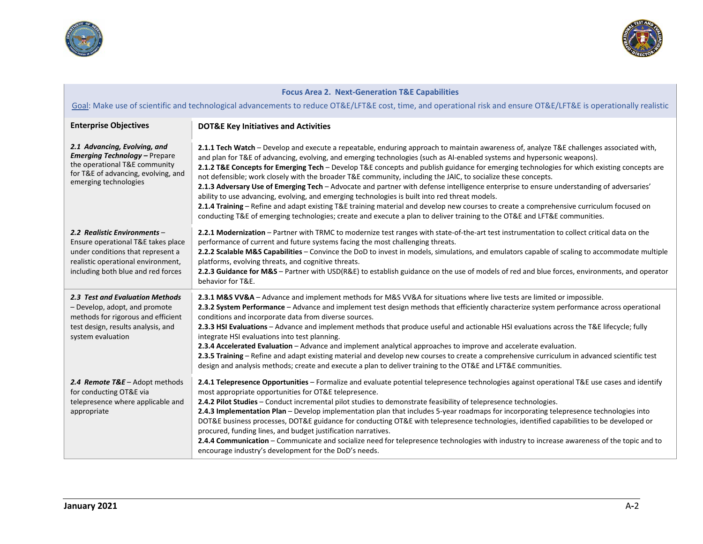



| <b>Focus Area 2. Next-Generation T&amp;E Capabilities</b><br>Goal: Make use of scientific and technological advancements to reduce OT&E/LFT&E cost, time, and operational risk and ensure OT&E/LFT&E is operationally realistic |                                                                                                                                                                                                                                                                                                                                                                                                                                                                                                                                                                                                                                                                                                                                                                                                                                                                                                                                                                                                                                                           |  |  |
|---------------------------------------------------------------------------------------------------------------------------------------------------------------------------------------------------------------------------------|-----------------------------------------------------------------------------------------------------------------------------------------------------------------------------------------------------------------------------------------------------------------------------------------------------------------------------------------------------------------------------------------------------------------------------------------------------------------------------------------------------------------------------------------------------------------------------------------------------------------------------------------------------------------------------------------------------------------------------------------------------------------------------------------------------------------------------------------------------------------------------------------------------------------------------------------------------------------------------------------------------------------------------------------------------------|--|--|
| <b>Enterprise Objectives</b>                                                                                                                                                                                                    | <b>DOT&amp;E Key Initiatives and Activities</b>                                                                                                                                                                                                                                                                                                                                                                                                                                                                                                                                                                                                                                                                                                                                                                                                                                                                                                                                                                                                           |  |  |
| 2.1 Advancing, Evolving, and<br><b>Emerging Technology - Prepare</b><br>the operational T&E community<br>for T&E of advancing, evolving, and<br>emerging technologies                                                           | 2.1.1 Tech Watch - Develop and execute a repeatable, enduring approach to maintain awareness of, analyze T&E challenges associated with,<br>and plan for T&E of advancing, evolving, and emerging technologies (such as AI-enabled systems and hypersonic weapons).<br>2.1.2 T&E Concepts for Emerging Tech - Develop T&E concepts and publish guidance for emerging technologies for which existing concepts are<br>not defensible; work closely with the broader T&E community, including the JAIC, to socialize these concepts.<br>2.1.3 Adversary Use of Emerging Tech - Advocate and partner with defense intelligence enterprise to ensure understanding of adversaries'<br>ability to use advancing, evolving, and emerging technologies is built into red threat models.<br>2.1.4 Training – Refine and adapt existing T&E training material and develop new courses to create a comprehensive curriculum focused on<br>conducting T&E of emerging technologies; create and execute a plan to deliver training to the OT&E and LFT&E communities. |  |  |
| 2.2 Realistic Environments -<br>Ensure operational T&E takes place<br>under conditions that represent a<br>realistic operational environment,<br>including both blue and red forces                                             | 2.2.1 Modernization – Partner with TRMC to modernize test ranges with state-of-the-art test instrumentation to collect critical data on the<br>performance of current and future systems facing the most challenging threats.<br>2.2.2 Scalable M&S Capabilities - Convince the DoD to invest in models, simulations, and emulators capable of scaling to accommodate multiple<br>platforms, evolving threats, and cognitive threats.<br>2.2.3 Guidance for M&S - Partner with USD(R&E) to establish guidance on the use of models of red and blue forces, environments, and operator<br>behavior for T&E.                                                                                                                                                                                                                                                                                                                                                                                                                                                |  |  |
| 2.3 Test and Evaluation Methods<br>- Develop, adopt, and promote<br>methods for rigorous and efficient<br>test design, results analysis, and<br>system evaluation                                                               | 2.3.1 M&S VV&A - Advance and implement methods for M&S VV&A for situations where live tests are limited or impossible.<br>2.3.2 System Performance - Advance and implement test design methods that efficiently characterize system performance across operational<br>conditions and incorporate data from diverse sources.<br>2.3.3 HSI Evaluations - Advance and implement methods that produce useful and actionable HSI evaluations across the T&E lifecycle; fully<br>integrate HSI evaluations into test planning.<br>2.3.4 Accelerated Evaluation - Advance and implement analytical approaches to improve and accelerate evaluation.<br>2.3.5 Training - Refine and adapt existing material and develop new courses to create a comprehensive curriculum in advanced scientific test<br>design and analysis methods; create and execute a plan to deliver training to the OT&E and LFT&E communities.                                                                                                                                             |  |  |
| 2.4 Remote T&E - Adopt methods<br>for conducting OT&E via<br>telepresence where applicable and<br>appropriate                                                                                                                   | 2.4.1 Telepresence Opportunities - Formalize and evaluate potential telepresence technologies against operational T&E use cases and identify<br>most appropriate opportunities for OT&E telepresence.<br>2.4.2 Pilot Studies - Conduct incremental pilot studies to demonstrate feasibility of telepresence technologies.<br>2.4.3 Implementation Plan - Develop implementation plan that includes 5-year roadmaps for incorporating telepresence technologies into<br>DOT&E business processes, DOT&E guidance for conducting OT&E with telepresence technologies, identified capabilities to be developed or<br>procured, funding lines, and budget justification narratives.<br>2.4.4 Communication - Communicate and socialize need for telepresence technologies with industry to increase awareness of the topic and to<br>encourage industry's development for the DoD's needs.                                                                                                                                                                    |  |  |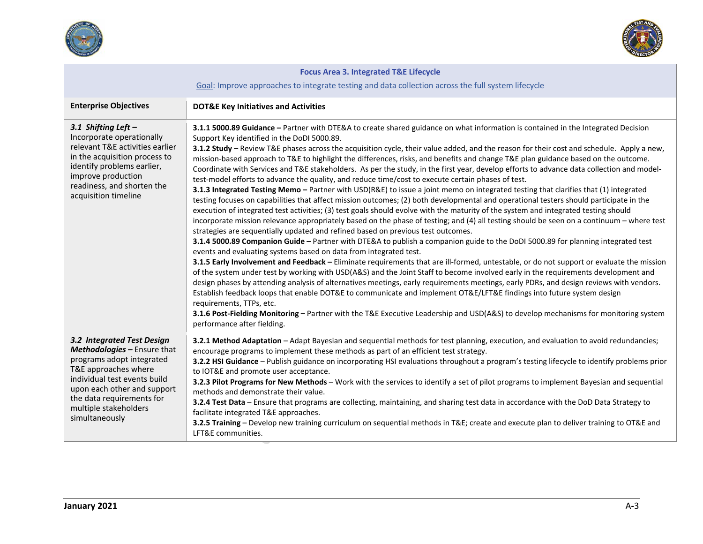



| <b>Focus Area 3. Integrated T&amp;E Lifecycle</b>                                                                                                                                                                                                     |                                                                                                                                                                                                                                                                                                                                                                                                                                                                                                                                                                                                                                                                                                                                                                                                                                                                                                                                                                                                                                                                                                                                                                                                                                                                                                                                                                                                                                                                                                                                                                                                                                                                                                                                                                                                                                                                                                                                                                                                                                                                                                                                                                                                                                                                                                                                                   |  |
|-------------------------------------------------------------------------------------------------------------------------------------------------------------------------------------------------------------------------------------------------------|---------------------------------------------------------------------------------------------------------------------------------------------------------------------------------------------------------------------------------------------------------------------------------------------------------------------------------------------------------------------------------------------------------------------------------------------------------------------------------------------------------------------------------------------------------------------------------------------------------------------------------------------------------------------------------------------------------------------------------------------------------------------------------------------------------------------------------------------------------------------------------------------------------------------------------------------------------------------------------------------------------------------------------------------------------------------------------------------------------------------------------------------------------------------------------------------------------------------------------------------------------------------------------------------------------------------------------------------------------------------------------------------------------------------------------------------------------------------------------------------------------------------------------------------------------------------------------------------------------------------------------------------------------------------------------------------------------------------------------------------------------------------------------------------------------------------------------------------------------------------------------------------------------------------------------------------------------------------------------------------------------------------------------------------------------------------------------------------------------------------------------------------------------------------------------------------------------------------------------------------------------------------------------------------------------------------------------------------------|--|
|                                                                                                                                                                                                                                                       | Goal: Improve approaches to integrate testing and data collection across the full system lifecycle                                                                                                                                                                                                                                                                                                                                                                                                                                                                                                                                                                                                                                                                                                                                                                                                                                                                                                                                                                                                                                                                                                                                                                                                                                                                                                                                                                                                                                                                                                                                                                                                                                                                                                                                                                                                                                                                                                                                                                                                                                                                                                                                                                                                                                                |  |
| <b>Enterprise Objectives</b>                                                                                                                                                                                                                          | <b>DOT&amp;E Key Initiatives and Activities</b>                                                                                                                                                                                                                                                                                                                                                                                                                                                                                                                                                                                                                                                                                                                                                                                                                                                                                                                                                                                                                                                                                                                                                                                                                                                                                                                                                                                                                                                                                                                                                                                                                                                                                                                                                                                                                                                                                                                                                                                                                                                                                                                                                                                                                                                                                                   |  |
| 3.1 Shifting Left -<br>Incorporate operationally<br>relevant T&E activities earlier<br>in the acquisition process to<br>identify problems earlier,<br>improve production<br>readiness, and shorten the<br>acquisition timeline                        | 3.1.1 5000.89 Guidance - Partner with DTE&A to create shared guidance on what information is contained in the Integrated Decision<br>Support Key identified in the DoDI 5000.89.<br>3.1.2 Study - Review T&E phases across the acquisition cycle, their value added, and the reason for their cost and schedule. Apply a new,<br>mission-based approach to T&E to highlight the differences, risks, and benefits and change T&E plan guidance based on the outcome.<br>Coordinate with Services and T&E stakeholders. As per the study, in the first year, develop efforts to advance data collection and model-<br>test-model efforts to advance the quality, and reduce time/cost to execute certain phases of test.<br>3.1.3 Integrated Testing Memo - Partner with USD(R&E) to issue a joint memo on integrated testing that clarifies that (1) integrated<br>testing focuses on capabilities that affect mission outcomes; (2) both developmental and operational testers should participate in the<br>execution of integrated test activities; (3) test goals should evolve with the maturity of the system and integrated testing should<br>incorporate mission relevance appropriately based on the phase of testing; and (4) all testing should be seen on a continuum – where test<br>strategies are sequentially updated and refined based on previous test outcomes.<br>3.1.4 5000.89 Companion Guide - Partner with DTE&A to publish a companion guide to the DoDI 5000.89 for planning integrated test<br>events and evaluating systems based on data from integrated test.<br>3.1.5 Early Involvement and Feedback - Eliminate requirements that are ill-formed, untestable, or do not support or evaluate the mission<br>of the system under test by working with USD(A&S) and the Joint Staff to become involved early in the requirements development and<br>design phases by attending analysis of alternatives meetings, early requirements meetings, early PDRs, and design reviews with vendors.<br>Establish feedback loops that enable DOT&E to communicate and implement OT&E/LFT&E findings into future system design<br>requirements, TTPs, etc.<br>3.1.6 Post-Fielding Monitoring - Partner with the T&E Executive Leadership and USD(A&S) to develop mechanisms for monitoring system<br>performance after fielding. |  |
| 3.2 Integrated Test Design<br>Methodologies - Ensure that<br>programs adopt integrated<br>T&E approaches where<br>individual test events build<br>upon each other and support<br>the data requirements for<br>multiple stakeholders<br>simultaneously | 3.2.1 Method Adaptation - Adapt Bayesian and sequential methods for test planning, execution, and evaluation to avoid redundancies;<br>encourage programs to implement these methods as part of an efficient test strategy.<br>3.2.2 HSI Guidance - Publish guidance on incorporating HSI evaluations throughout a program's testing lifecycle to identify problems prior<br>to IOT&E and promote user acceptance.<br>3.2.3 Pilot Programs for New Methods - Work with the services to identify a set of pilot programs to implement Bayesian and sequential<br>methods and demonstrate their value.<br>3.2.4 Test Data - Ensure that programs are collecting, maintaining, and sharing test data in accordance with the DoD Data Strategy to<br>facilitate integrated T&E approaches.<br>3.2.5 Training - Develop new training curriculum on sequential methods in T&E create and execute plan to deliver training to OT&E and<br>LFT&E communities.                                                                                                                                                                                                                                                                                                                                                                                                                                                                                                                                                                                                                                                                                                                                                                                                                                                                                                                                                                                                                                                                                                                                                                                                                                                                                                                                                                                             |  |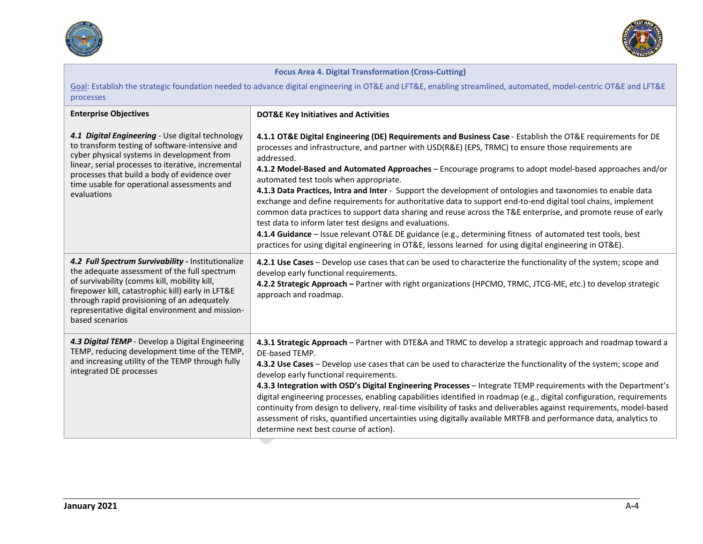



#### **Focus Area 4. Digital Transformation (Cross‐Cutting)**

Goal: Establish the strategic foundation needed to advance digital engineering in OT&E and LFT&E, enabling streamlined, automated, model‐centric OT&E and LFT&E processes

| <b>Enterprise Objectives</b>                                                                                                                                                                                                                                                                                                 | <b>DOT&amp;E Key Initiatives and Activities</b>                                                                                                                                                                                                                                                                                                                                                                                                                                                                                                                                                                                                                                                                                                                                                                                                                                                                                                                                                                           |
|------------------------------------------------------------------------------------------------------------------------------------------------------------------------------------------------------------------------------------------------------------------------------------------------------------------------------|---------------------------------------------------------------------------------------------------------------------------------------------------------------------------------------------------------------------------------------------------------------------------------------------------------------------------------------------------------------------------------------------------------------------------------------------------------------------------------------------------------------------------------------------------------------------------------------------------------------------------------------------------------------------------------------------------------------------------------------------------------------------------------------------------------------------------------------------------------------------------------------------------------------------------------------------------------------------------------------------------------------------------|
| 4.1 Digital Engineering - Use digital technology<br>to transform testing of software-intensive and<br>cyber physical systems in development from<br>linear, serial processes to iterative, incremental<br>processes that build a body of evidence over<br>time usable for operational assessments and<br>evaluations         | 4.1.1 OT&E Digital Engineering (DE) Requirements and Business Case - Establish the OT&E requirements for DE<br>processes and infrastructure, and partner with USD(R&E) (EPS, TRMC) to ensure those requirements are<br>addressed.<br>4.1.2 Model-Based and Automated Approaches - Encourage programs to adopt model-based approaches and/or<br>automated test tools when appropriate.<br>4.1.3 Data Practices, Intra and Inter - Support the development of ontologies and taxonomies to enable data<br>exchange and define requirements for authoritative data to support end-to-end digital tool chains, implement<br>common data practices to support data sharing and reuse across the T&E enterprise, and promote reuse of early<br>test data to inform later test designs and evaluations.<br>4.1.4 Guidance - Issue relevant OT&E DE guidance (e.g., determining fitness of automated test tools, best<br>practices for using digital engineering in OT&E, lessons learned for using digital engineering in OT&E). |
| 4.2 Full Spectrum Survivability - Institutionalize<br>the adequate assessment of the full spectrum<br>of survivability (comms kill, mobility kill,<br>firepower kill, catastrophic kill) early in LFT&E<br>through rapid provisioning of an adequately<br>representative digital environment and mission-<br>based scenarios | 4.2.1 Use Cases - Develop use cases that can be used to characterize the functionality of the system; scope and<br>develop early functional requirements.<br>4.2.2 Strategic Approach - Partner with right organizations (HPCMO, TRMC, JTCG-ME, etc.) to develop strategic<br>approach and roadmap.                                                                                                                                                                                                                                                                                                                                                                                                                                                                                                                                                                                                                                                                                                                       |
| 4.3 Digital TEMP - Develop a Digital Engineering<br>TEMP, reducing development time of the TEMP,<br>and increasing utility of the TEMP through fully<br>integrated DE processes                                                                                                                                              | 4.3.1 Strategic Approach - Partner with DTE&A and TRMC to develop a strategic approach and roadmap toward a<br>DF-based TFMP.<br>4.3.2 Use Cases - Develop use cases that can be used to characterize the functionality of the system; scope and<br>develop early functional requirements.<br>4.3.3 Integration with OSD's Digital Engineering Processes - Integrate TEMP requirements with the Department's<br>digital engineering processes, enabling capabilities identified in roadmap (e.g., digital configuration, requirements<br>continuity from design to delivery, real-time visibility of tasks and deliverables against requirements, model-based<br>assessment of risks, quantified uncertainties using digitally available MRTFB and performance data, analytics to<br>determine next best course of action).                                                                                                                                                                                               |